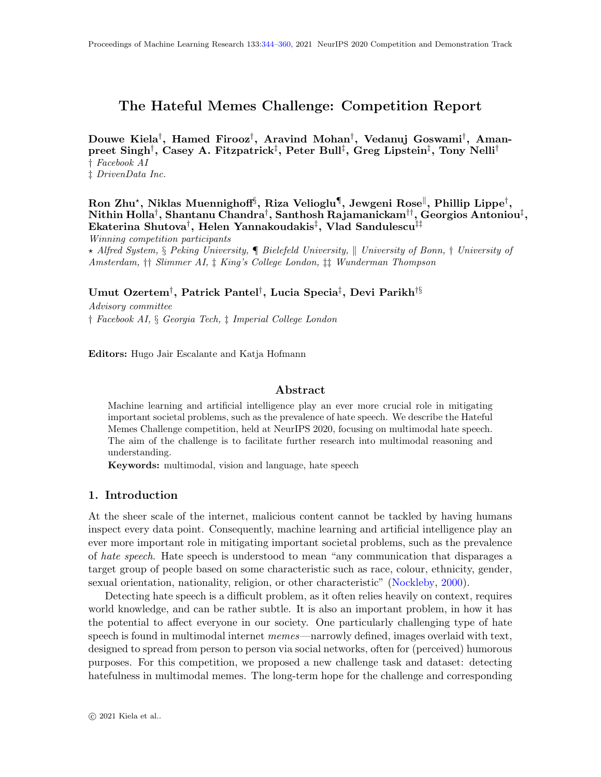## <span id="page-0-0"></span>The Hateful Memes Challenge: Competition Report

Douwe Kiela† , Hamed Firooz† , Aravind Mohan† , Vedanuj Goswami† , Amanpreet Singh<sup>†</sup>, Casey A. Fitzpatrick<sup>‡</sup>, Peter Bull<sup>‡</sup>, Greg Lipstein<sup>‡</sup>, Tony Nelli<sup>†</sup> † Facebook AI ‡ DrivenData Inc.

Ron Zhu\*, Niklas Muennighoff $\S$ , Riza Velioglu $\P$ , Jewgeni Rose $\parallel$ , Phillip Lippe $^\dagger,$  $\mathbf{N}$ ithin Holla $^\dagger, \mathbf{S}$ hantanu Chandra $^\dagger, \mathbf{S}$ anthosh Rajamanickam $^{\dagger\dagger}, \mathbf{G}$ eorgios Antoniou $^\ddagger,$ Ekaterina Shutova $^\dagger,$  Helen Yannakoudakis $^\ddagger,$  Vlad Sandulescu $^{\ddagger\ddagger}$ Winning competition participants

 $\star$  Alfred System, § Peking University,  $\blacksquare$  Bielefeld University,  $\parallel$  University of Bonn, † University of Amsterdam, †† Slimmer AI, ‡ King's College London, ‡‡ Wunderman Thompson

Umut Ozertem $^\dagger,$  Patrick Pantel $^\dagger,$  Lucia Specia $^\ddagger,$  Devi Parikh $^{\dagger\S}$ 

Advisory committee † Facebook AI, § Georgia Tech, ‡ Imperial College London

Editors: Hugo Jair Escalante and Katja Hofmann

### Abstract

Machine learning and artificial intelligence play an ever more crucial role in mitigating important societal problems, such as the prevalence of hate speech. We describe the Hateful Memes Challenge competition, held at NeurIPS 2020, focusing on multimodal hate speech. The aim of the challenge is to facilitate further research into multimodal reasoning and understanding.

Keywords: multimodal, vision and language, hate speech

### 1. Introduction

At the sheer scale of the internet, malicious content cannot be tackled by having humans inspect every data point. Consequently, machine learning and artificial intelligence play an ever more important role in mitigating important societal problems, such as the prevalence of hate speech. Hate speech is understood to mean "any communication that disparages a target group of people based on some characteristic such as race, colour, ethnicity, gender, sexual orientation, nationality, religion, or other characteristic" [\(Nockleby,](#page-13-0) [2000\)](#page-13-0).

Detecting hate speech is a difficult problem, as it often relies heavily on context, requires world knowledge, and can be rather subtle. It is also an important problem, in how it has the potential to affect everyone in our society. One particularly challenging type of hate speech is found in multimodal internet memes—narrowly defined, images overlaid with text, designed to spread from person to person via social networks, often for (perceived) humorous purposes. For this competition, we proposed a new challenge task and dataset: detecting hatefulness in multimodal memes. The long-term hope for the challenge and corresponding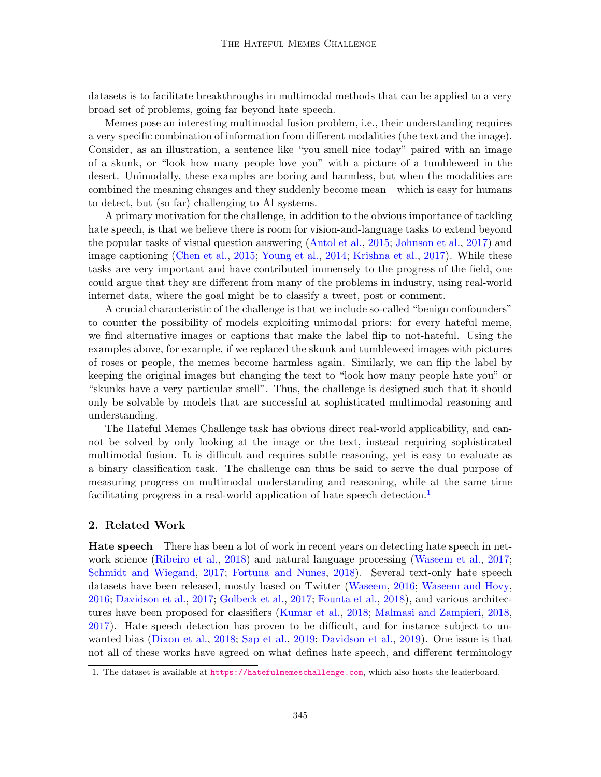datasets is to facilitate breakthroughs in multimodal methods that can be applied to a very broad set of problems, going far beyond hate speech.

Memes pose an interesting multimodal fusion problem, i.e., their understanding requires a very specific combination of information from different modalities (the text and the image). Consider, as an illustration, a sentence like "you smell nice today" paired with an image of a skunk, or "look how many people love you" with a picture of a tumbleweed in the desert. Unimodally, these examples are boring and harmless, but when the modalities are combined the meaning changes and they suddenly become mean—which is easy for humans to detect, but (so far) challenging to AI systems.

A primary motivation for the challenge, in addition to the obvious importance of tackling hate speech, is that we believe there is room for vision-and-language tasks to extend beyond the popular tasks of visual question answering [\(Antol et al.,](#page-9-0) [2015;](#page-9-0) [Johnson et al.,](#page-12-0) [2017\)](#page-12-0) and image captioning [\(Chen et al.,](#page-10-0) [2015;](#page-10-0) [Young et al.,](#page-15-0) [2014;](#page-15-0) [Krishna et al.,](#page-12-1) [2017\)](#page-12-1). While these tasks are very important and have contributed immensely to the progress of the field, one could argue that they are different from many of the problems in industry, using real-world internet data, where the goal might be to classify a tweet, post or comment.

A crucial characteristic of the challenge is that we include so-called "benign confounders" to counter the possibility of models exploiting unimodal priors: for every hateful meme, we find alternative images or captions that make the label flip to not-hateful. Using the examples above, for example, if we replaced the skunk and tumbleweed images with pictures of roses or people, the memes become harmless again. Similarly, we can flip the label by keeping the original images but changing the text to "look how many people hate you" or "skunks have a very particular smell". Thus, the challenge is designed such that it should only be solvable by models that are successful at sophisticated multimodal reasoning and understanding.

The Hateful Memes Challenge task has obvious direct real-world applicability, and cannot be solved by only looking at the image or the text, instead requiring sophisticated multimodal fusion. It is difficult and requires subtle reasoning, yet is easy to evaluate as a binary classification task. The challenge can thus be said to serve the dual purpose of measuring progress on multimodal understanding and reasoning, while at the same time facilitating progress in a real-world application of hate speech detection.<sup>[1](#page-1-0)</sup>

#### 2. Related Work

Hate speech There has been a lot of work in recent years on detecting hate speech in network science [\(Ribeiro et al.,](#page-13-1) [2018\)](#page-13-1) and natural language processing [\(Waseem et al.,](#page-15-1) [2017;](#page-15-1) [Schmidt and Wiegand,](#page-13-2) [2017;](#page-13-2) [Fortuna and Nunes,](#page-10-1) [2018\)](#page-10-1). Several text-only hate speech datasets have been released, mostly based on Twitter [\(Waseem,](#page-15-2) [2016;](#page-15-2) [Waseem and Hovy,](#page-15-3) [2016;](#page-15-3) [Davidson et al.,](#page-10-2) [2017;](#page-10-2) [Golbeck et al.,](#page-11-0) [2017;](#page-11-0) [Founta et al.,](#page-10-3) [2018\)](#page-10-3), and various architectures have been proposed for classifiers [\(Kumar et al.,](#page-12-2) [2018;](#page-12-2) [Malmasi and Zampieri,](#page-13-3) [2018,](#page-13-3) [2017\)](#page-13-4). Hate speech detection has proven to be difficult, and for instance subject to unwanted bias [\(Dixon et al.,](#page-10-4) [2018;](#page-10-4) [Sap et al.,](#page-13-5) [2019;](#page-13-5) [Davidson et al.,](#page-10-5) [2019\)](#page-10-5). One issue is that not all of these works have agreed on what defines hate speech, and different terminology

<span id="page-1-0"></span><sup>1.</sup> The dataset is available at <https://hatefulmemeschallenge.com>, which also hosts the leaderboard.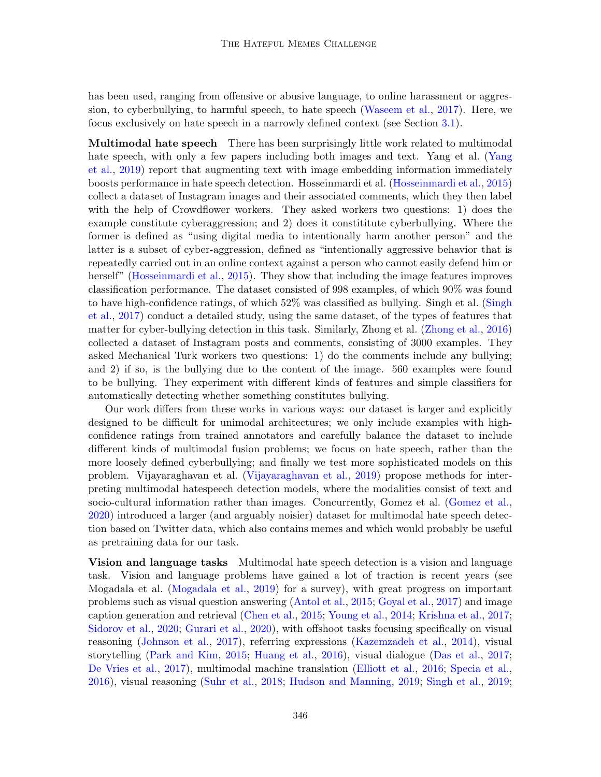has been used, ranging from offensive or abusive language, to online harassment or aggression, to cyberbullying, to harmful speech, to hate speech [\(Waseem et al.,](#page-15-1) [2017\)](#page-15-1). Here, we focus exclusively on hate speech in a narrowly defined context (see Section [3.1\)](#page-4-0).

Multimodal hate speech There has been surprisingly little work related to multimodal hate speech, with only a few papers including both images and text. Yang et al. [\(Yang](#page-15-4) [et al.,](#page-15-4) [2019\)](#page-15-4) report that augmenting text with image embedding information immediately boosts performance in hate speech detection. Hosseinmardi et al. [\(Hosseinmardi et al.,](#page-11-1) [2015\)](#page-11-1) collect a dataset of Instagram images and their associated comments, which they then label with the help of Crowdflower workers. They asked workers two questions: 1) does the example constitute cyberaggression; and 2) does it constititute cyberbullying. Where the former is defined as "using digital media to intentionally harm another person" and the latter is a subset of cyber-aggression, defined as "intentionally aggressive behavior that is repeatedly carried out in an online context against a person who cannot easily defend him or herself" [\(Hosseinmardi et al.,](#page-11-1) [2015\)](#page-11-1). They show that including the image features improves classification performance. The dataset consisted of 998 examples, of which 90% was found to have high-confidence ratings, of which 52% was classified as bullying. Singh et al. [\(Singh](#page-14-0) [et al.,](#page-14-0) [2017\)](#page-14-0) conduct a detailed study, using the same dataset, of the types of features that matter for cyber-bullying detection in this task. Similarly, Zhong et al. [\(Zhong et al.,](#page-16-1) [2016\)](#page-16-1) collected a dataset of Instagram posts and comments, consisting of 3000 examples. They asked Mechanical Turk workers two questions: 1) do the comments include any bullying; and 2) if so, is the bullying due to the content of the image. 560 examples were found to be bullying. They experiment with different kinds of features and simple classifiers for automatically detecting whether something constitutes bullying.

Our work differs from these works in various ways: our dataset is larger and explicitly designed to be difficult for unimodal architectures; we only include examples with highconfidence ratings from trained annotators and carefully balance the dataset to include different kinds of multimodal fusion problems; we focus on hate speech, rather than the more loosely defined cyberbullying; and finally we test more sophisticated models on this problem. Vijayaraghavan et al. [\(Vijayaraghavan et al.,](#page-15-5) [2019\)](#page-15-5) propose methods for interpreting multimodal hatespeech detection models, where the modalities consist of text and socio-cultural information rather than images. Concurrently, Gomez et al. [\(Gomez et al.,](#page-11-2) [2020\)](#page-11-2) introduced a larger (and arguably noisier) dataset for multimodal hate speech detection based on Twitter data, which also contains memes and which would probably be useful as pretraining data for our task.

Vision and language tasks Multimodal hate speech detection is a vision and language task. Vision and language problems have gained a lot of traction is recent years (see Mogadala et al. [\(Mogadala et al.,](#page-13-6) [2019\)](#page-13-6) for a survey), with great progress on important problems such as visual question answering [\(Antol et al.,](#page-9-0) [2015;](#page-9-0) [Goyal et al.,](#page-11-3) [2017\)](#page-11-3) and image caption generation and retrieval [\(Chen et al.,](#page-10-0) [2015;](#page-10-0) [Young et al.,](#page-15-0) [2014;](#page-15-0) [Krishna et al.,](#page-12-1) [2017;](#page-12-1) [Sidorov et al.,](#page-14-1) [2020;](#page-14-1) [Gurari et al.,](#page-11-4) [2020\)](#page-11-4), with offshoot tasks focusing specifically on visual reasoning [\(Johnson et al.,](#page-12-0) [2017\)](#page-12-0), referring expressions [\(Kazemzadeh et al.,](#page-12-3) [2014\)](#page-12-3), visual storytelling [\(Park and Kim,](#page-13-7) [2015;](#page-13-7) [Huang et al.,](#page-11-5) [2016\)](#page-11-5), visual dialogue [\(Das et al.,](#page-10-6) [2017;](#page-10-6) [De Vries et al.,](#page-10-7) [2017\)](#page-10-7), multimodal machine translation [\(Elliott et al.,](#page-10-8) [2016;](#page-10-8) [Specia et al.,](#page-14-2) [2016\)](#page-14-2), visual reasoning [\(Suhr et al.,](#page-14-3) [2018;](#page-14-3) [Hudson and Manning,](#page-11-6) [2019;](#page-11-6) [Singh et al.,](#page-14-4) [2019;](#page-14-4)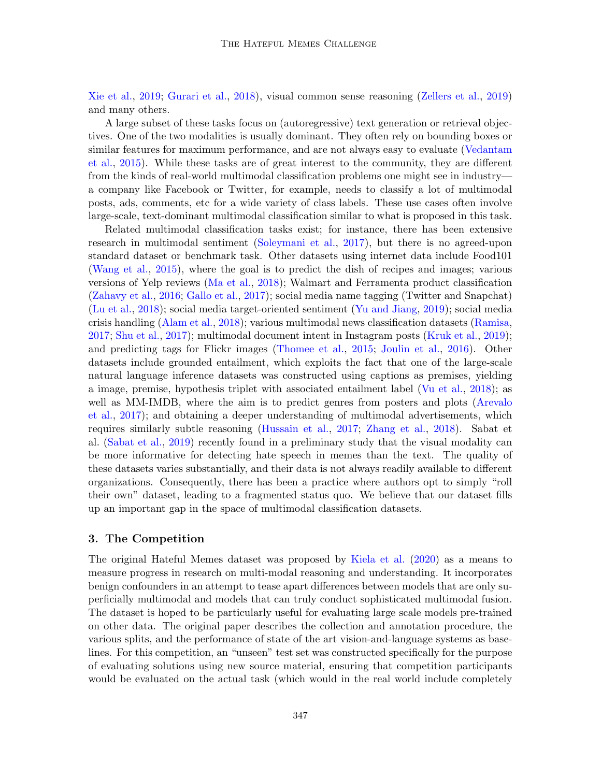[Xie et al.,](#page-15-6) [2019;](#page-15-6) [Gurari et al.,](#page-11-7) [2018\)](#page-11-7), visual common sense reasoning [\(Zellers et al.,](#page-16-2) [2019\)](#page-16-2) and many others.

A large subset of these tasks focus on (autoregressive) text generation or retrieval objectives. One of the two modalities is usually dominant. They often rely on bounding boxes or similar features for maximum performance, and are not always easy to evaluate [\(Vedantam](#page-15-7) [et al.,](#page-15-7) [2015\)](#page-15-7). While these tasks are of great interest to the community, they are different from the kinds of real-world multimodal classification problems one might see in industry a company like Facebook or Twitter, for example, needs to classify a lot of multimodal posts, ads, comments, etc for a wide variety of class labels. These use cases often involve large-scale, text-dominant multimodal classification similar to what is proposed in this task.

Related multimodal classification tasks exist; for instance, there has been extensive research in multimodal sentiment [\(Soleymani et al.,](#page-14-5) [2017\)](#page-14-5), but there is no agreed-upon standard dataset or benchmark task. Other datasets using internet data include Food101 [\(Wang et al.,](#page-15-8) [2015\)](#page-15-8), where the goal is to predict the dish of recipes and images; various versions of Yelp reviews [\(Ma et al.,](#page-13-8) [2018\)](#page-13-8); Walmart and Ferramenta product classification [\(Zahavy et al.,](#page-16-3) [2016;](#page-16-3) [Gallo et al.,](#page-10-9) [2017\)](#page-10-9); social media name tagging (Twitter and Snapchat) [\(Lu et al.,](#page-12-4) [2018\)](#page-12-4); social media target-oriented sentiment [\(Yu and Jiang,](#page-16-4) [2019\)](#page-16-4); social media crisis handling [\(Alam et al.,](#page-9-1) [2018\)](#page-9-1); various multimodal news classification datasets [\(Ramisa,](#page-13-9) [2017;](#page-13-9) [Shu et al.,](#page-14-6) [2017\)](#page-14-6); multimodal document intent in Instagram posts [\(Kruk et al.,](#page-12-5) [2019\)](#page-12-5); and predicting tags for Flickr images [\(Thomee et al.,](#page-14-7) [2015;](#page-14-7) [Joulin et al.,](#page-12-6) [2016\)](#page-12-6). Other datasets include grounded entailment, which exploits the fact that one of the large-scale natural language inference datasets was constructed using captions as premises, yielding a image, premise, hypothesis triplet with associated entailment label [\(Vu et al.,](#page-15-9) [2018\)](#page-15-9); as well as MM-IMDB, where the aim is to predict genres from posters and plots [\(Arevalo](#page-10-10) [et al.,](#page-10-10) [2017\)](#page-10-10); and obtaining a deeper understanding of multimodal advertisements, which requires similarly subtle reasoning [\(Hussain et al.,](#page-11-8) [2017;](#page-11-8) [Zhang et al.,](#page-16-5) [2018\)](#page-16-5). Sabat et al. [\(Sabat et al.,](#page-13-10) [2019\)](#page-13-10) recently found in a preliminary study that the visual modality can be more informative for detecting hate speech in memes than the text. The quality of these datasets varies substantially, and their data is not always readily available to different organizations. Consequently, there has been a practice where authors opt to simply "roll their own" dataset, leading to a fragmented status quo. We believe that our dataset fills up an important gap in the space of multimodal classification datasets.

## 3. The Competition

The original Hateful Memes dataset was proposed by [Kiela et al.](#page-12-7) [\(2020\)](#page-12-7) as a means to measure progress in research on multi-modal reasoning and understanding. It incorporates benign confounders in an attempt to tease apart differences between models that are only superficially multimodal and models that can truly conduct sophisticated multimodal fusion. The dataset is hoped to be particularly useful for evaluating large scale models pre-trained on other data. The original paper describes the collection and annotation procedure, the various splits, and the performance of state of the art vision-and-language systems as baselines. For this competition, an "unseen" test set was constructed specifically for the purpose of evaluating solutions using new source material, ensuring that competition participants would be evaluated on the actual task (which would in the real world include completely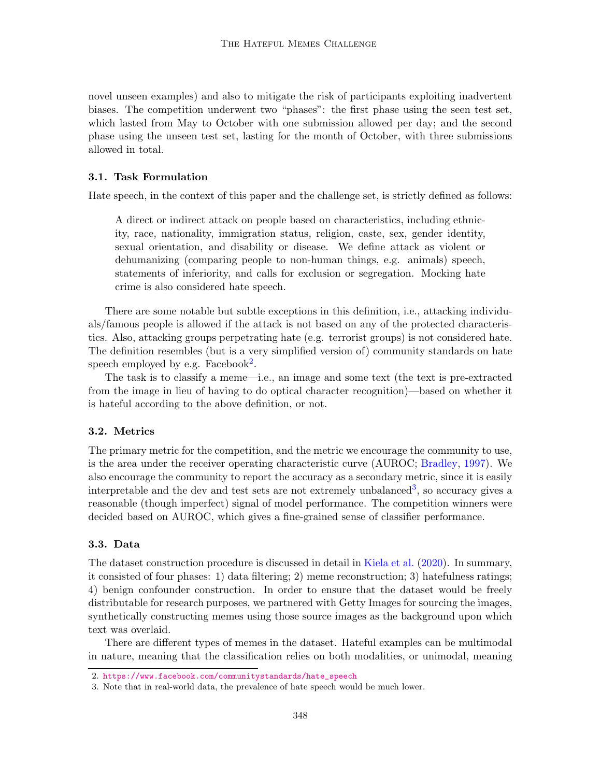novel unseen examples) and also to mitigate the risk of participants exploiting inadvertent biases. The competition underwent two "phases": the first phase using the seen test set, which lasted from May to October with one submission allowed per day; and the second phase using the unseen test set, lasting for the month of October, with three submissions allowed in total.

### <span id="page-4-0"></span>3.1. Task Formulation

Hate speech, in the context of this paper and the challenge set, is strictly defined as follows:

A direct or indirect attack on people based on characteristics, including ethnicity, race, nationality, immigration status, religion, caste, sex, gender identity, sexual orientation, and disability or disease. We define attack as violent or dehumanizing (comparing people to non-human things, e.g. animals) speech, statements of inferiority, and calls for exclusion or segregation. Mocking hate crime is also considered hate speech.

There are some notable but subtle exceptions in this definition, i.e., attacking individuals/famous people is allowed if the attack is not based on any of the protected characteristics. Also, attacking groups perpetrating hate (e.g. terrorist groups) is not considered hate. The definition resembles (but is a very simplified version of) community standards on hate speech employed by e.g. Facebook<sup>[2](#page-4-1)</sup>.

The task is to classify a meme—i.e., an image and some text (the text is pre-extracted from the image in lieu of having to do optical character recognition)—based on whether it is hateful according to the above definition, or not.

## 3.2. Metrics

The primary metric for the competition, and the metric we encourage the community to use, is the area under the receiver operating characteristic curve (AUROC; [Bradley,](#page-10-11) [1997\)](#page-10-11). We also encourage the community to report the accuracy as a secondary metric, since it is easily interpretable and the dev and test sets are not extremely unbalanced<sup>[3](#page-4-2)</sup>, so accuracy gives a reasonable (though imperfect) signal of model performance. The competition winners were decided based on AUROC, which gives a fine-grained sense of classifier performance.

## 3.3. Data

The dataset construction procedure is discussed in detail in [Kiela et al.](#page-12-7) [\(2020\)](#page-12-7). In summary, it consisted of four phases: 1) data filtering; 2) meme reconstruction; 3) hatefulness ratings; 4) benign confounder construction. In order to ensure that the dataset would be freely distributable for research purposes, we partnered with Getty Images for sourcing the images, synthetically constructing memes using those source images as the background upon which text was overlaid.

There are different types of memes in the dataset. Hateful examples can be multimodal in nature, meaning that the classification relies on both modalities, or unimodal, meaning

<span id="page-4-1"></span><sup>2.</sup> [https://www.facebook.com/communitystandards/hate\\_speech](https://www.facebook.com/communitystandards/hate_speech)

<span id="page-4-2"></span><sup>3.</sup> Note that in real-world data, the prevalence of hate speech would be much lower.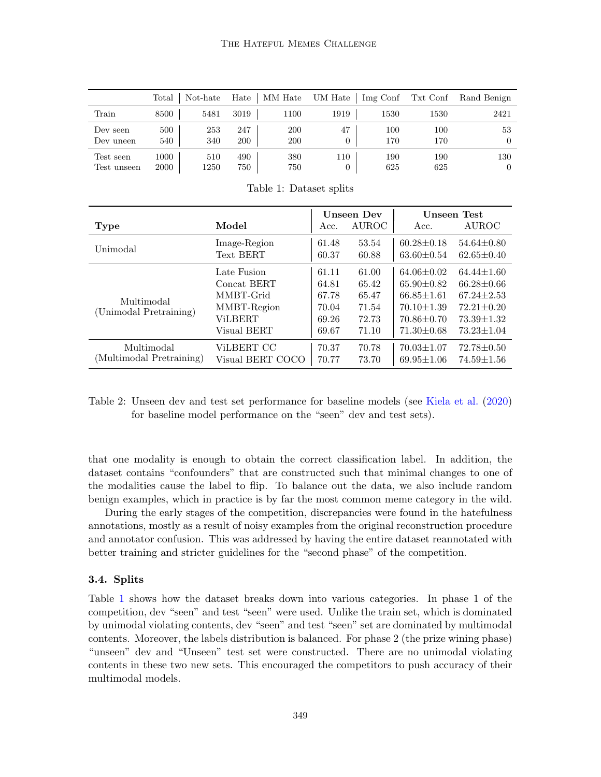|             | $_{\rm Total}$ | Not-hate | Hate | MM Hate | UM Hate        | Img Conf | Txt Conf | Rand Benign |
|-------------|----------------|----------|------|---------|----------------|----------|----------|-------------|
| Train       | 8500           | 5481     | 3019 | 1100    | 1919           | 1530     | 1530     | 2421        |
| Dev seen    | 500            | 253      | 247  | 200     | 47             | 100      | 100      | 53          |
| Dev uneen   | 540            | 340      | 200  | 200     | 0              | 170      | 170      |             |
| Test seen   | 1000           | 510      | 490  | 380     | 110            | 190      | 190      | 130         |
| Test unseen | 2000           | 1250     | 750  | 750     | $\overline{0}$ | 625      | 625      |             |

Unseen Dev Unseen Test  $\begin{array}{ccc} \textbf{Type} & \textbf{Model} & \textbf{Acc.} & \text{AUROC} & \textbf{Acc.} & \textbf{AUROC} \end{array}$ Unimodal Image-Region  $61.48$   $53.54$   $60.28\pm0.18$   $54.64\pm0.80$ <br>Co 37 60.88  $62.60\pm0.18$   $60.25\pm0.18$   $60.61\pm0.40$ Text BERT  $60.37$   $60.88$   $63.60\pm0.54$   $62.65\pm0.40$ Multimodal (Unimodal Pretraining) Late Fusion  $\begin{array}{|l} \n\end{array}$   $\begin{array}{|l} 61.11 & 61.00 & 64.06 \pm 0.02 & 64.44 \pm 1.60\n\end{array}$ Concat BERT  $64.81$   $65.42$   $65.90\pm0.82$   $66.28\pm0.66$ MMBT-Grid | 67.78 65.47 | 66.85±1.61 67.24±2.53 MMBT-Region 70.04 71.54 70.10±1.39 72.21±0.20 ViLBERT  $\big| 69.26 \quad 72.73 \quad | 70.86 \pm 0.70 \quad 73.39 \pm 1.32$ Visual BERT  $69.67$   $71.10$   $71.30\pm0.68$   $73.23\pm1.04$ Multimodal (Multimodal Pretraining) ViLBERT CC  $\qquad$  | 70.37 70.78 | 70.03 $\pm$ 1.07 72.78 $\pm$ 0.50 Visual BERT COCO | 70.77 73.70 | 69.95 $\pm$ 1.06 74.59 $\pm$ 1.56

<span id="page-5-0"></span>Table 1: Dataset splits

Table 2: Unseen dev and test set performance for baseline models (see [Kiela et al.](#page-12-7) [\(2020\)](#page-12-7) for baseline model performance on the "seen" dev and test sets).

that one modality is enough to obtain the correct classification label. In addition, the dataset contains "confounders" that are constructed such that minimal changes to one of the modalities cause the label to flip. To balance out the data, we also include random benign examples, which in practice is by far the most common meme category in the wild.

During the early stages of the competition, discrepancies were found in the hatefulness annotations, mostly as a result of noisy examples from the original reconstruction procedure and annotator confusion. This was addressed by having the entire dataset reannotated with better training and stricter guidelines for the "second phase" of the competition.

#### 3.4. Splits

Table [1](#page-5-0) shows how the dataset breaks down into various categories. In phase 1 of the competition, dev "seen" and test "seen" were used. Unlike the train set, which is dominated by unimodal violating contents, dev "seen" and test "seen" set are dominated by multimodal contents. Moreover, the labels distribution is balanced. For phase 2 (the prize wining phase) "unseen" dev and "Unseen" test set were constructed. There are no unimodal violating contents in these two new sets. This encouraged the competitors to push accuracy of their multimodal models.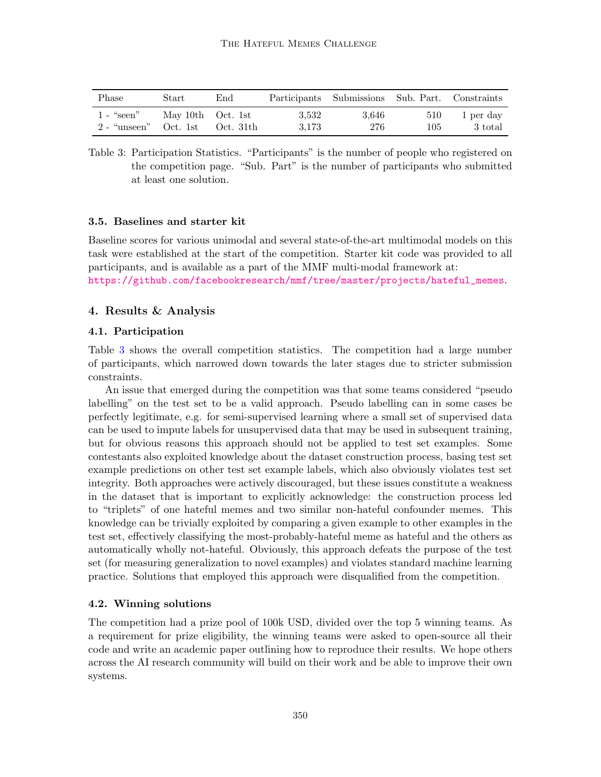| Phase          | Start             | End       |       | Participants Submissions Sub. Part. Constraints |     |           |
|----------------|-------------------|-----------|-------|-------------------------------------------------|-----|-----------|
| $1 -$ "seen"   | May 10th Oct. 1st | Oct. 31th | 3.532 | 3.646                                           | 510 | 1 per day |
| $2$ - "unseen" | Oct. 1st          |           | 3.173 | 276                                             | 105 | 3 total   |

<span id="page-6-0"></span>Table 3: Participation Statistics. "Participants" is the number of people who registered on the competition page. "Sub. Part" is the number of participants who submitted at least one solution.

#### 3.5. Baselines and starter kit

Baseline scores for various unimodal and several state-of-the-art multimodal models on this task were established at the start of the competition. Starter kit code was provided to all participants, and is available as a part of the MMF multi-modal framework at: [https://github.com/facebookresearch/mmf/tree/master/projects/hateful\\_memes](https://github.com/facebookresearch/mmf/tree/master/projects/hateful_memes).

#### 4. Results & Analysis

#### 4.1. Participation

Table [3](#page-6-0) shows the overall competition statistics. The competition had a large number of participants, which narrowed down towards the later stages due to stricter submission constraints.

An issue that emerged during the competition was that some teams considered "pseudo labelling" on the test set to be a valid approach. Pseudo labelling can in some cases be perfectly legitimate, e.g. for semi-supervised learning where a small set of supervised data can be used to impute labels for unsupervised data that may be used in subsequent training, but for obvious reasons this approach should not be applied to test set examples. Some contestants also exploited knowledge about the dataset construction process, basing test set example predictions on other test set example labels, which also obviously violates test set integrity. Both approaches were actively discouraged, but these issues constitute a weakness in the dataset that is important to explicitly acknowledge: the construction process led to "triplets" of one hateful memes and two similar non-hateful confounder memes. This knowledge can be trivially exploited by comparing a given example to other examples in the test set, effectively classifying the most-probably-hateful meme as hateful and the others as automatically wholly not-hateful. Obviously, this approach defeats the purpose of the test set (for measuring generalization to novel examples) and violates standard machine learning practice. Solutions that employed this approach were disqualified from the competition.

#### 4.2. Winning solutions

The competition had a prize pool of 100k USD, divided over the top 5 winning teams. As a requirement for prize eligibility, the winning teams were asked to open-source all their code and write an academic paper outlining how to reproduce their results. We hope others across the AI research community will build on their work and be able to improve their own systems.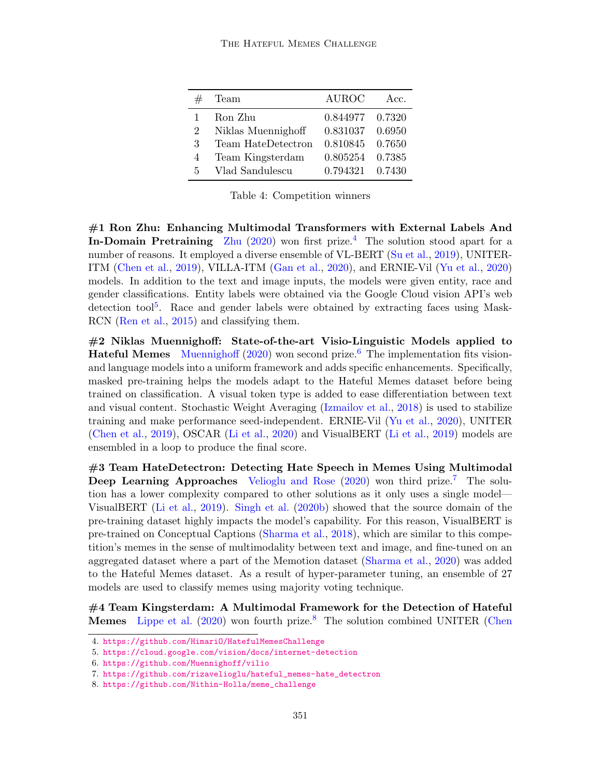|   | Team               | <b>AUROC</b> | Acc.   |
|---|--------------------|--------------|--------|
|   | Ron Zhu            | 0.844977     | 0.7320 |
| 2 | Niklas Muennighoff | 0.831037     | 0.6950 |
| 3 | Team HateDetectron | 0.810845     | 0.7650 |
| 4 | Team Kingsterdam   | 0.805254     | 0.7385 |
| 5 | Vlad Sandulescu    | 0.794321     | 0.7430 |

Table 4: Competition winners

#1 Ron Zhu: Enhancing Multimodal Transformers with External Labels And In-Domain Pretraining [Zhu](#page-16-6)  $(2020)$  won first prize.<sup>[4](#page-7-0)</sup> The solution stood apart for a number of reasons. It employed a diverse ensemble of VL-BERT [\(Su et al.,](#page-14-8) [2019\)](#page-14-8), UNITER-ITM [\(Chen et al.,](#page-10-12) [2019\)](#page-10-12), VILLA-ITM [\(Gan et al.,](#page-11-9) [2020\)](#page-11-9), and ERNIE-Vil [\(Yu et al.,](#page-15-10) [2020\)](#page-15-10) models. In addition to the text and image inputs, the models were given entity, race and gender classifications. Entity labels were obtained via the Google Cloud vision API's web detection tool<sup>[5](#page-7-1)</sup>. Race and gender labels were obtained by extracting faces using Mask-RCN [\(Ren et al.,](#page-13-11) [2015\)](#page-13-11) and classifying them.

#2 Niklas Muennighoff: State-of-the-art Visio-Linguistic Models applied to **Hateful Memes** [Muennighoff](#page-13-12)  $(2020)$  won second prize.<sup>[6](#page-7-2)</sup> The implementation fits visionand language models into a uniform framework and adds specific enhancements. Specifically, masked pre-training helps the models adapt to the Hateful Memes dataset before being trained on classification. A visual token type is added to ease differentiation between text and visual content. Stochastic Weight Averaging [\(Izmailov et al.,](#page-11-10) [2018\)](#page-11-10) is used to stabilize training and make performance seed-independent. ERNIE-Vil [\(Yu et al.,](#page-15-10) [2020\)](#page-15-10), UNITER [\(Chen et al.,](#page-10-12) [2019\)](#page-10-12), OSCAR [\(Li et al.,](#page-12-8) [2020\)](#page-12-8) and VisualBERT [\(Li et al.,](#page-12-9) [2019\)](#page-12-9) models are ensembled in a loop to produce the final score.

#3 Team HateDetectron: Detecting Hate Speech in Memes Using Multimodal **Deep Learning Approaches** [Velioglu and Rose](#page-15-11)  $(2020)$  won third prize.<sup>[7](#page-7-3)</sup> The solution has a lower complexity compared to other solutions as it only uses a single model— VisualBERT [\(Li et al.,](#page-12-9) [2019\)](#page-12-9). [Singh et al.](#page-14-9) [\(2020b\)](#page-14-9) showed that the source domain of the pre-training dataset highly impacts the model's capability. For this reason, VisualBERT is pre-trained on Conceptual Captions [\(Sharma et al.,](#page-14-10) [2018\)](#page-14-10), which are similar to this competition's memes in the sense of multimodality between text and image, and fine-tuned on an aggregated dataset where a part of the Memotion dataset [\(Sharma et al.,](#page-13-13) [2020\)](#page-13-13) was added to the Hateful Memes dataset. As a result of hyper-parameter tuning, an ensemble of 27 models are used to classify memes using majority voting technique.

#4 Team Kingsterdam: A Multimodal Framework for the Detection of Hateful **Memes** [Lippe et al.](#page-12-10) [\(2020\)](#page-12-10) won fourth prize.<sup>[8](#page-7-4)</sup> The solution combined UNITER [\(Chen](#page-10-12)

<span id="page-7-0"></span><sup>4.</sup> [https://github.com/HimariO/HatefulMemesChallenge](#page-10-12)

<span id="page-7-1"></span><sup>5.</sup> [https://cloud.google.com/vision/docs/internet-detection](#page-10-12)

<span id="page-7-2"></span><sup>6.</sup> [https://github.com/Muennighoff/vilio](#page-10-12)

<span id="page-7-3"></span><sup>7.</sup> [https://github.com/rizavelioglu/hateful\\_memes-hate\\_detectron](#page-10-12)

<span id="page-7-4"></span><sup>8.</sup> [https://github.com/Nithin-Holla/meme\\_challenge](#page-10-12)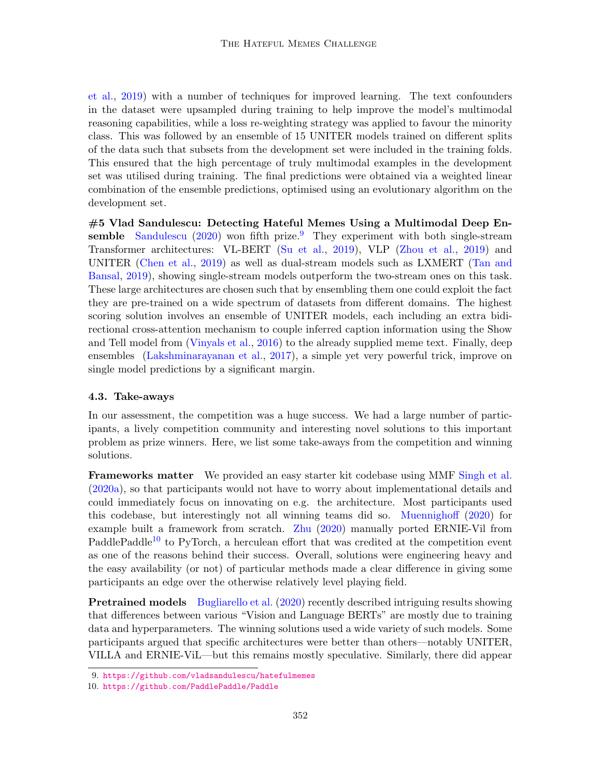[et al.,](#page-10-12) [2019\)](#page-10-12) with a number of techniques for improved learning. The text confounders in the dataset were upsampled during training to help improve the model's multimodal reasoning capabilities, while a loss re-weighting strategy was applied to favour the minority class. This was followed by an ensemble of 15 UNITER models trained on different splits of the data such that subsets from the development set were included in the training folds. This ensured that the high percentage of truly multimodal examples in the development set was utilised during training. The final predictions were obtained via a weighted linear combination of the ensemble predictions, optimised using an evolutionary algorithm on the development set.

#5 Vlad Sandulescu: Detecting Hateful Memes Using a Multimodal Deep En-semble [Sandulescu](#page-13-14) [\(2020\)](#page-13-14) won fifth prize.<sup>[9](#page-8-0)</sup> They experiment with both single-stream Transformer architectures: VL-BERT [\(Su et al.,](#page-14-8) [2019\)](#page-14-8), VLP [\(Zhou et al.,](#page-16-7) [2019\)](#page-16-7) and UNITER [\(Chen et al.,](#page-10-12) [2019\)](#page-10-12) as well as dual-stream models such as LXMERT [\(Tan and](#page-14-11) [Bansal,](#page-14-11) [2019\)](#page-14-11), showing single-stream models outperform the two-stream ones on this task. These large architectures are chosen such that by ensembling them one could exploit the fact they are pre-trained on a wide spectrum of datasets from different domains. The highest scoring solution involves an ensemble of UNITER models, each including an extra bidirectional cross-attention mechanism to couple inferred caption information using the Show and Tell model from [\(Vinyals et al.,](#page-15-12) [2016\)](#page-15-12) to the already supplied meme text. Finally, deep ensembles [\(Lakshminarayanan et al.,](#page-12-11) [2017\)](#page-12-11), a simple yet very powerful trick, improve on single model predictions by a significant margin.

#### 4.3. Take-aways

In our assessment, the competition was a huge success. We had a large number of participants, a lively competition community and interesting novel solutions to this important problem as prize winners. Here, we list some take-aways from the competition and winning solutions.

Frameworks matter We provided an easy starter kit codebase using MMF [Singh et al.](#page-14-12) [\(2020a\)](#page-14-12), so that participants would not have to worry about implementational details and could immediately focus on innovating on e.g. the architecture. Most participants used this codebase, but interestingly not all winning teams did so. [Muennighoff](#page-13-12) [\(2020\)](#page-13-12) for example built a framework from scratch. [Zhu](#page-16-6) [\(2020\)](#page-16-6) manually ported ERNIE-Vil from PaddlePaddle<sup>[10](#page-8-1)</sup> to PyTorch, a herculean effort that was credited at the competition event as one of the reasons behind their success. Overall, solutions were engineering heavy and the easy availability (or not) of particular methods made a clear difference in giving some participants an edge over the otherwise relatively level playing field.

**Pretrained models** [Bugliarello et al.](#page-10-13) [\(2020\)](#page-10-13) recently described intriguing results showing that differences between various "Vision and Language BERTs" are mostly due to training data and hyperparameters. The winning solutions used a wide variety of such models. Some participants argued that specific architectures were better than others—notably UNITER, VILLA and ERNIE-ViL—but this remains mostly speculative. Similarly, there did appear

<span id="page-8-1"></span><span id="page-8-0"></span><sup>9.</sup> <https://github.com/vladsandulescu/hatefulmemes>

<sup>10.</sup> <https://github.com/PaddlePaddle/Paddle>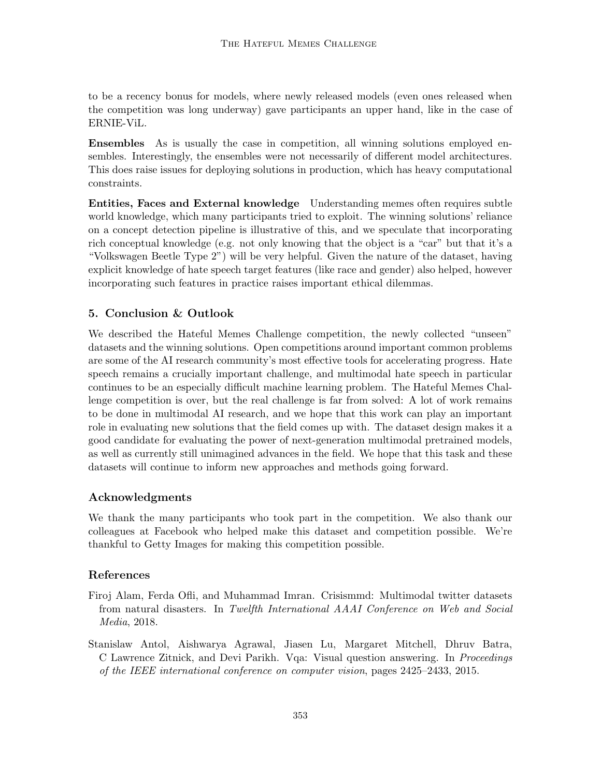to be a recency bonus for models, where newly released models (even ones released when the competition was long underway) gave participants an upper hand, like in the case of ERNIE-ViL.

Ensembles As is usually the case in competition, all winning solutions employed ensembles. Interestingly, the ensembles were not necessarily of different model architectures. This does raise issues for deploying solutions in production, which has heavy computational constraints.

Entities, Faces and External knowledge Understanding memes often requires subtle world knowledge, which many participants tried to exploit. The winning solutions' reliance on a concept detection pipeline is illustrative of this, and we speculate that incorporating rich conceptual knowledge (e.g. not only knowing that the object is a "car" but that it's a "Volkswagen Beetle Type 2") will be very helpful. Given the nature of the dataset, having explicit knowledge of hate speech target features (like race and gender) also helped, however incorporating such features in practice raises important ethical dilemmas.

# 5. Conclusion & Outlook

We described the Hateful Memes Challenge competition, the newly collected "unseen" datasets and the winning solutions. Open competitions around important common problems are some of the AI research community's most effective tools for accelerating progress. Hate speech remains a crucially important challenge, and multimodal hate speech in particular continues to be an especially difficult machine learning problem. The Hateful Memes Challenge competition is over, but the real challenge is far from solved: A lot of work remains to be done in multimodal AI research, and we hope that this work can play an important role in evaluating new solutions that the field comes up with. The dataset design makes it a good candidate for evaluating the power of next-generation multimodal pretrained models, as well as currently still unimagined advances in the field. We hope that this task and these datasets will continue to inform new approaches and methods going forward.

## Acknowledgments

We thank the many participants who took part in the competition. We also thank our colleagues at Facebook who helped make this dataset and competition possible. We're thankful to Getty Images for making this competition possible.

## References

- <span id="page-9-1"></span>Firoj Alam, Ferda Ofli, and Muhammad Imran. Crisismmd: Multimodal twitter datasets from natural disasters. In Twelfth International AAAI Conference on Web and Social Media, 2018.
- <span id="page-9-0"></span>Stanislaw Antol, Aishwarya Agrawal, Jiasen Lu, Margaret Mitchell, Dhruv Batra, C Lawrence Zitnick, and Devi Parikh. Vqa: Visual question answering. In Proceedings of the IEEE international conference on computer vision, pages 2425–2433, 2015.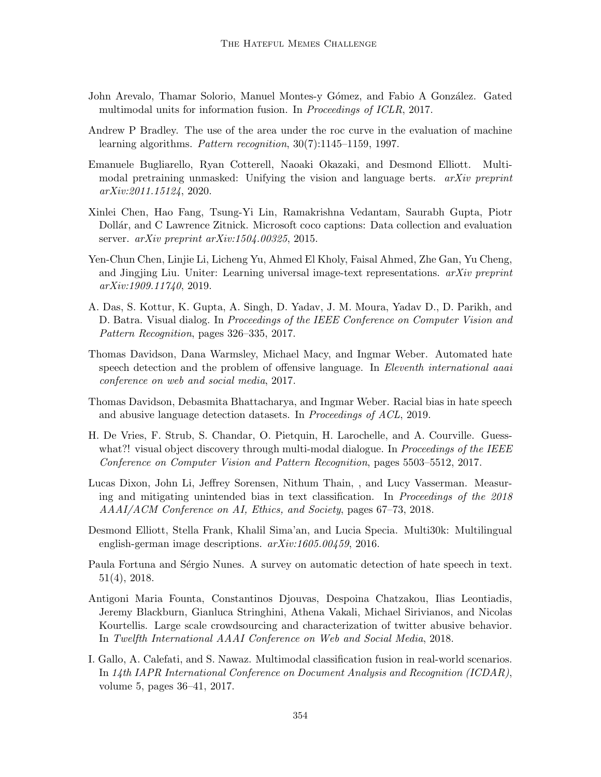- <span id="page-10-10"></span>John Arevalo, Thamar Solorio, Manuel Montes-y Gómez, and Fabio A González. Gated multimodal units for information fusion. In Proceedings of ICLR, 2017.
- <span id="page-10-11"></span>Andrew P Bradley. The use of the area under the roc curve in the evaluation of machine learning algorithms. Pattern recognition, 30(7):1145–1159, 1997.
- <span id="page-10-13"></span>Emanuele Bugliarello, Ryan Cotterell, Naoaki Okazaki, and Desmond Elliott. Multimodal pretraining unmasked: Unifying the vision and language berts. arXiv preprint arXiv:2011.15124, 2020.
- <span id="page-10-0"></span>Xinlei Chen, Hao Fang, Tsung-Yi Lin, Ramakrishna Vedantam, Saurabh Gupta, Piotr Dollár, and C Lawrence Zitnick. Microsoft coco captions: Data collection and evaluation server.  $arXiv$  preprint  $arXiv:1504.00325$ , 2015.
- <span id="page-10-12"></span>Yen-Chun Chen, Linjie Li, Licheng Yu, Ahmed El Kholy, Faisal Ahmed, Zhe Gan, Yu Cheng, and Jingjing Liu. Uniter: Learning universal image-text representations.  $arXiv$  preprint arXiv:1909.11740, 2019.
- <span id="page-10-6"></span>A. Das, S. Kottur, K. Gupta, A. Singh, D. Yadav, J. M. Moura, Yadav D., D. Parikh, and D. Batra. Visual dialog. In Proceedings of the IEEE Conference on Computer Vision and Pattern Recognition, pages 326–335, 2017.
- <span id="page-10-2"></span>Thomas Davidson, Dana Warmsley, Michael Macy, and Ingmar Weber. Automated hate speech detection and the problem of offensive language. In Eleventh international aaai conference on web and social media, 2017.
- <span id="page-10-5"></span>Thomas Davidson, Debasmita Bhattacharya, and Ingmar Weber. Racial bias in hate speech and abusive language detection datasets. In Proceedings of ACL, 2019.
- <span id="page-10-7"></span>H. De Vries, F. Strub, S. Chandar, O. Pietquin, H. Larochelle, and A. Courville. Guesswhat?! visual object discovery through multi-modal dialogue. In *Proceedings of the IEEE* Conference on Computer Vision and Pattern Recognition, pages 5503–5512, 2017.
- <span id="page-10-4"></span>Lucas Dixon, John Li, Jeffrey Sorensen, Nithum Thain, , and Lucy Vasserman. Measuring and mitigating unintended bias in text classification. In Proceedings of the 2018 AAAI/ACM Conference on AI, Ethics, and Society, pages 67–73, 2018.
- <span id="page-10-8"></span>Desmond Elliott, Stella Frank, Khalil Sima'an, and Lucia Specia. Multi30k: Multilingual english-german image descriptions. arXiv:1605.00459, 2016.
- <span id="page-10-1"></span>Paula Fortuna and Sérgio Nunes. A survey on automatic detection of hate speech in text. 51(4), 2018.
- <span id="page-10-3"></span>Antigoni Maria Founta, Constantinos Djouvas, Despoina Chatzakou, Ilias Leontiadis, Jeremy Blackburn, Gianluca Stringhini, Athena Vakali, Michael Sirivianos, and Nicolas Kourtellis. Large scale crowdsourcing and characterization of twitter abusive behavior. In Twelfth International AAAI Conference on Web and Social Media, 2018.
- <span id="page-10-9"></span>I. Gallo, A. Calefati, and S. Nawaz. Multimodal classification fusion in real-world scenarios. In 14th IAPR International Conference on Document Analysis and Recognition (ICDAR), volume 5, pages 36–41, 2017.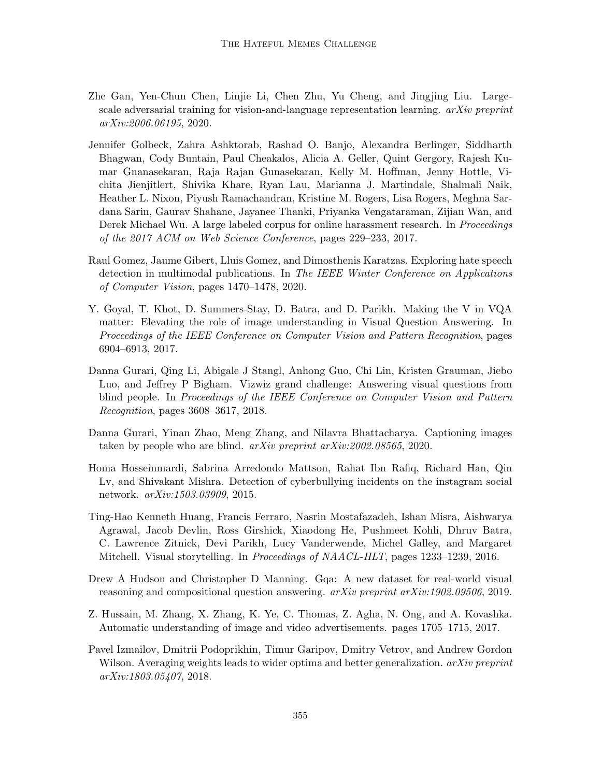- <span id="page-11-9"></span>Zhe Gan, Yen-Chun Chen, Linjie Li, Chen Zhu, Yu Cheng, and Jingjing Liu. Largescale adversarial training for vision-and-language representation learning.  $arXiv$  preprint arXiv:2006.06195, 2020.
- <span id="page-11-0"></span>Jennifer Golbeck, Zahra Ashktorab, Rashad O. Banjo, Alexandra Berlinger, Siddharth Bhagwan, Cody Buntain, Paul Cheakalos, Alicia A. Geller, Quint Gergory, Rajesh Kumar Gnanasekaran, Raja Rajan Gunasekaran, Kelly M. Hoffman, Jenny Hottle, Vichita Jienjitlert, Shivika Khare, Ryan Lau, Marianna J. Martindale, Shalmali Naik, Heather L. Nixon, Piyush Ramachandran, Kristine M. Rogers, Lisa Rogers, Meghna Sardana Sarin, Gaurav Shahane, Jayanee Thanki, Priyanka Vengataraman, Zijian Wan, and Derek Michael Wu. A large labeled corpus for online harassment research. In Proceedings of the 2017 ACM on Web Science Conference, pages 229–233, 2017.
- <span id="page-11-2"></span>Raul Gomez, Jaume Gibert, Lluis Gomez, and Dimosthenis Karatzas. Exploring hate speech detection in multimodal publications. In The IEEE Winter Conference on Applications of Computer Vision, pages 1470–1478, 2020.
- <span id="page-11-3"></span>Y. Goyal, T. Khot, D. Summers-Stay, D. Batra, and D. Parikh. Making the V in VQA matter: Elevating the role of image understanding in Visual Question Answering. In Proceedings of the IEEE Conference on Computer Vision and Pattern Recognition, pages 6904–6913, 2017.
- <span id="page-11-7"></span>Danna Gurari, Qing Li, Abigale J Stangl, Anhong Guo, Chi Lin, Kristen Grauman, Jiebo Luo, and Jeffrey P Bigham. Vizwiz grand challenge: Answering visual questions from blind people. In Proceedings of the IEEE Conference on Computer Vision and Pattern Recognition, pages 3608–3617, 2018.
- <span id="page-11-4"></span>Danna Gurari, Yinan Zhao, Meng Zhang, and Nilavra Bhattacharya. Captioning images taken by people who are blind. arXiv preprint arXiv:2002.08565, 2020.
- <span id="page-11-1"></span>Homa Hosseinmardi, Sabrina Arredondo Mattson, Rahat Ibn Rafiq, Richard Han, Qin Lv, and Shivakant Mishra. Detection of cyberbullying incidents on the instagram social network. arXiv:1503.03909, 2015.
- <span id="page-11-5"></span>Ting-Hao Kenneth Huang, Francis Ferraro, Nasrin Mostafazadeh, Ishan Misra, Aishwarya Agrawal, Jacob Devlin, Ross Girshick, Xiaodong He, Pushmeet Kohli, Dhruv Batra, C. Lawrence Zitnick, Devi Parikh, Lucy Vanderwende, Michel Galley, and Margaret Mitchell. Visual storytelling. In Proceedings of NAACL-HLT, pages 1233–1239, 2016.
- <span id="page-11-6"></span>Drew A Hudson and Christopher D Manning. Gqa: A new dataset for real-world visual reasoning and compositional question answering.  $arXiv$  preprint  $arXiv:1902.09506$ , 2019.
- <span id="page-11-8"></span>Z. Hussain, M. Zhang, X. Zhang, K. Ye, C. Thomas, Z. Agha, N. Ong, and A. Kovashka. Automatic understanding of image and video advertisements. pages 1705–1715, 2017.
- <span id="page-11-10"></span>Pavel Izmailov, Dmitrii Podoprikhin, Timur Garipov, Dmitry Vetrov, and Andrew Gordon Wilson. Averaging weights leads to wider optima and better generalization.  $arXiv$  preprint arXiv:1803.05407, 2018.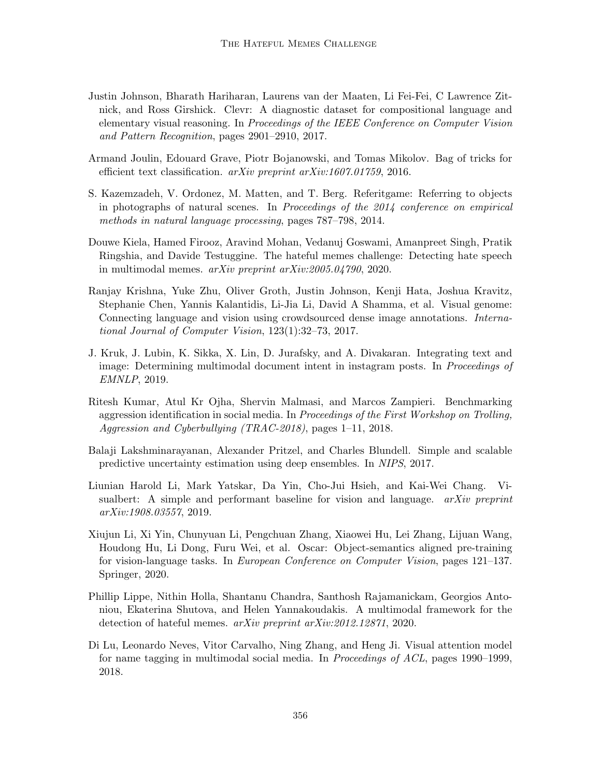- <span id="page-12-0"></span>Justin Johnson, Bharath Hariharan, Laurens van der Maaten, Li Fei-Fei, C Lawrence Zitnick, and Ross Girshick. Clevr: A diagnostic dataset for compositional language and elementary visual reasoning. In Proceedings of the IEEE Conference on Computer Vision and Pattern Recognition, pages 2901–2910, 2017.
- <span id="page-12-6"></span>Armand Joulin, Edouard Grave, Piotr Bojanowski, and Tomas Mikolov. Bag of tricks for efficient text classification. arXiv preprint arXiv:1607.01759, 2016.
- <span id="page-12-3"></span>S. Kazemzadeh, V. Ordonez, M. Matten, and T. Berg. Referitgame: Referring to objects in photographs of natural scenes. In Proceedings of the 2014 conference on empirical methods in natural language processing, pages 787–798, 2014.
- <span id="page-12-7"></span>Douwe Kiela, Hamed Firooz, Aravind Mohan, Vedanuj Goswami, Amanpreet Singh, Pratik Ringshia, and Davide Testuggine. The hateful memes challenge: Detecting hate speech in multimodal memes. arXiv preprint arXiv:2005.04790, 2020.
- <span id="page-12-1"></span>Ranjay Krishna, Yuke Zhu, Oliver Groth, Justin Johnson, Kenji Hata, Joshua Kravitz, Stephanie Chen, Yannis Kalantidis, Li-Jia Li, David A Shamma, et al. Visual genome: Connecting language and vision using crowdsourced dense image annotations. International Journal of Computer Vision, 123(1):32–73, 2017.
- <span id="page-12-5"></span>J. Kruk, J. Lubin, K. Sikka, X. Lin, D. Jurafsky, and A. Divakaran. Integrating text and image: Determining multimodal document intent in instagram posts. In *Proceedings of* EMNLP, 2019.
- <span id="page-12-2"></span>Ritesh Kumar, Atul Kr Ojha, Shervin Malmasi, and Marcos Zampieri. Benchmarking aggression identification in social media. In Proceedings of the First Workshop on Trolling, Aggression and Cyberbullying (TRAC-2018), pages 1–11, 2018.
- <span id="page-12-11"></span>Balaji Lakshminarayanan, Alexander Pritzel, and Charles Blundell. Simple and scalable predictive uncertainty estimation using deep ensembles. In NIPS, 2017.
- <span id="page-12-9"></span>Liunian Harold Li, Mark Yatskar, Da Yin, Cho-Jui Hsieh, and Kai-Wei Chang. Visualbert: A simple and performant baseline for vision and language.  $arXiv$  preprint arXiv:1908.03557, 2019.
- <span id="page-12-8"></span>Xiujun Li, Xi Yin, Chunyuan Li, Pengchuan Zhang, Xiaowei Hu, Lei Zhang, Lijuan Wang, Houdong Hu, Li Dong, Furu Wei, et al. Oscar: Object-semantics aligned pre-training for vision-language tasks. In European Conference on Computer Vision, pages 121–137. Springer, 2020.
- <span id="page-12-10"></span>Phillip Lippe, Nithin Holla, Shantanu Chandra, Santhosh Rajamanickam, Georgios Antoniou, Ekaterina Shutova, and Helen Yannakoudakis. A multimodal framework for the detection of hateful memes. arXiv preprint arXiv:2012.12871, 2020.
- <span id="page-12-4"></span>Di Lu, Leonardo Neves, Vitor Carvalho, Ning Zhang, and Heng Ji. Visual attention model for name tagging in multimodal social media. In Proceedings of ACL, pages 1990–1999, 2018.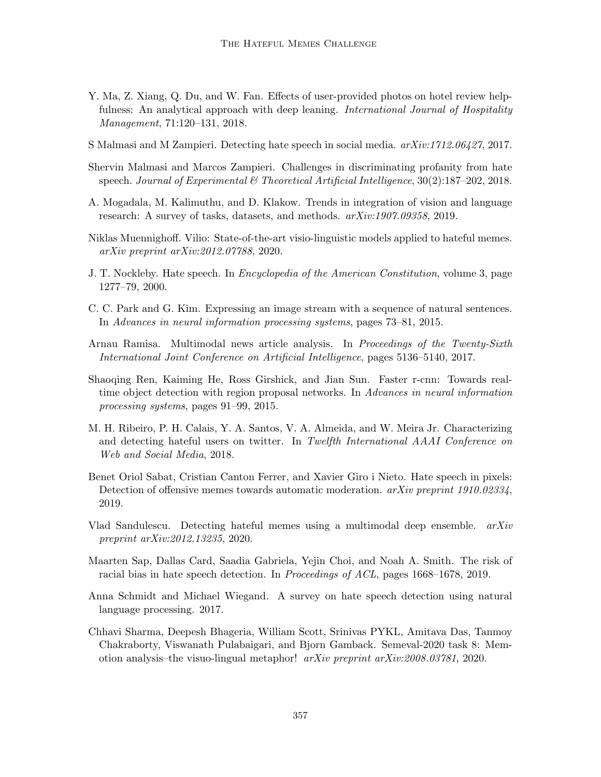- <span id="page-13-8"></span>Y. Ma, Z. Xiang, Q. Du, and W. Fan. Effects of user-provided photos on hotel review helpfulness: An analytical approach with deep leaning. *International Journal of Hospitality* Management, 71:120–131, 2018.
- <span id="page-13-4"></span>S Malmasi and M Zampieri. Detecting hate speech in social media.  $arXiv:1712.06427$ , 2017.
- <span id="page-13-3"></span>Shervin Malmasi and Marcos Zampieri. Challenges in discriminating profanity from hate speech. Journal of Experimental & Theoretical Artificial Intelligence,  $30(2):187-202$ ,  $2018$ .
- <span id="page-13-6"></span>A. Mogadala, M. Kalimuthu, and D. Klakow. Trends in integration of vision and language research: A survey of tasks, datasets, and methods. arXiv:1907.09358, 2019.
- <span id="page-13-12"></span>Niklas Muennighoff. Vilio: State-of-the-art visio-linguistic models applied to hateful memes. arXiv preprint arXiv:2012.07788, 2020.
- <span id="page-13-0"></span>J. T. Nockleby. Hate speech. In Encyclopedia of the American Constitution, volume 3, page 1277–79, 2000.
- <span id="page-13-7"></span>C. C. Park and G. Kim. Expressing an image stream with a sequence of natural sentences. In Advances in neural information processing systems, pages 73–81, 2015.
- <span id="page-13-9"></span>Arnau Ramisa. Multimodal news article analysis. In Proceedings of the Twenty-Sixth International Joint Conference on Artificial Intelligence, pages 5136–5140, 2017.
- <span id="page-13-11"></span>Shaoqing Ren, Kaiming He, Ross Girshick, and Jian Sun. Faster r-cnn: Towards realtime object detection with region proposal networks. In Advances in neural information processing systems, pages 91–99, 2015.
- <span id="page-13-1"></span>M. H. Ribeiro, P. H. Calais, Y. A. Santos, V. A. Almeida, and W. Meira Jr. Characterizing and detecting hateful users on twitter. In Twelfth International AAAI Conference on Web and Social Media, 2018.
- <span id="page-13-10"></span>Benet Oriol Sabat, Cristian Canton Ferrer, and Xavier Giro i Nieto. Hate speech in pixels: Detection of offensive memes towards automatic moderation. arXiv preprint 1910.02334, 2019.
- <span id="page-13-14"></span>Vlad Sandulescu. Detecting hateful memes using a multimodal deep ensemble. arXiv preprint arXiv:2012.13235, 2020.
- <span id="page-13-5"></span>Maarten Sap, Dallas Card, Saadia Gabriela, Yejin Choi, and Noah A. Smith. The risk of racial bias in hate speech detection. In Proceedings of ACL, pages 1668–1678, 2019.
- <span id="page-13-2"></span>Anna Schmidt and Michael Wiegand. A survey on hate speech detection using natural language processing. 2017.
- <span id="page-13-13"></span>Chhavi Sharma, Deepesh Bhageria, William Scott, Srinivas PYKL, Amitava Das, Tanmoy Chakraborty, Viswanath Pulabaigari, and Bjorn Gamback. Semeval-2020 task 8: Memotion analysis–the visuo-lingual metaphor! arXiv preprint arXiv:2008.03781, 2020.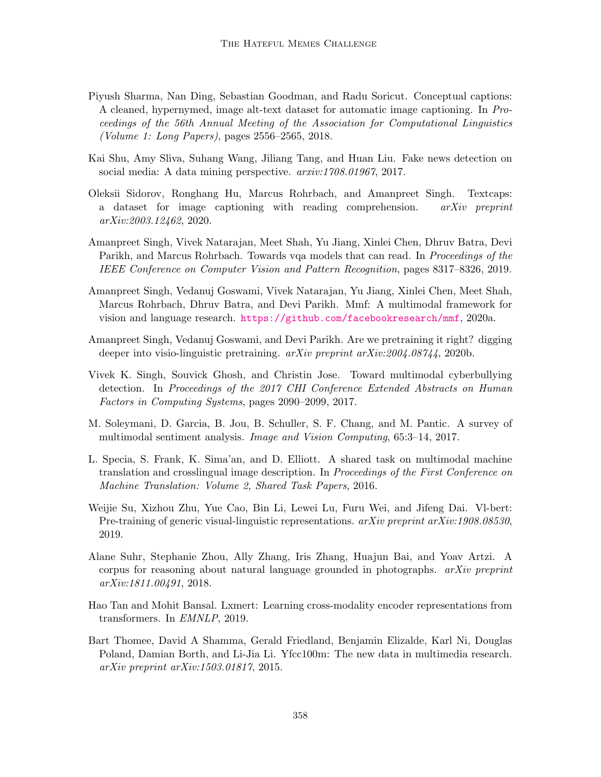- <span id="page-14-10"></span>Piyush Sharma, Nan Ding, Sebastian Goodman, and Radu Soricut. Conceptual captions: A cleaned, hypernymed, image alt-text dataset for automatic image captioning. In Proceedings of the 56th Annual Meeting of the Association for Computational Linguistics (Volume 1: Long Papers), pages 2556–2565, 2018.
- <span id="page-14-6"></span>Kai Shu, Amy Sliva, Suhang Wang, Jiliang Tang, and Huan Liu. Fake news detection on social media: A data mining perspective.  $arxiv.1708.01967$ , 2017.
- <span id="page-14-1"></span>Oleksii Sidorov, Ronghang Hu, Marcus Rohrbach, and Amanpreet Singh. Textcaps: a dataset for image captioning with reading comprehension. arXiv preprint arXiv:2003.12462, 2020.
- <span id="page-14-4"></span>Amanpreet Singh, Vivek Natarajan, Meet Shah, Yu Jiang, Xinlei Chen, Dhruv Batra, Devi Parikh, and Marcus Rohrbach. Towards vqa models that can read. In *Proceedings of the* IEEE Conference on Computer Vision and Pattern Recognition, pages 8317–8326, 2019.
- <span id="page-14-12"></span>Amanpreet Singh, Vedanuj Goswami, Vivek Natarajan, Yu Jiang, Xinlei Chen, Meet Shah, Marcus Rohrbach, Dhruv Batra, and Devi Parikh. Mmf: A multimodal framework for vision and language research. <https://github.com/facebookresearch/mmf>, 2020a.
- <span id="page-14-9"></span>Amanpreet Singh, Vedanuj Goswami, and Devi Parikh. Are we pretraining it right? digging deeper into visio-linguistic pretraining. arXiv preprint arXiv:2004.08744, 2020b.
- <span id="page-14-0"></span>Vivek K. Singh, Souvick Ghosh, and Christin Jose. Toward multimodal cyberbullying detection. In Proceedings of the 2017 CHI Conference Extended Abstracts on Human Factors in Computing Systems, pages 2090–2099, 2017.
- <span id="page-14-5"></span>M. Soleymani, D. Garcia, B. Jou, B. Schuller, S. F. Chang, and M. Pantic. A survey of multimodal sentiment analysis. Image and Vision Computing, 65:3–14, 2017.
- <span id="page-14-2"></span>L. Specia, S. Frank, K. Sima'an, and D. Elliott. A shared task on multimodal machine translation and crosslingual image description. In Proceedings of the First Conference on Machine Translation: Volume 2, Shared Task Papers, 2016.
- <span id="page-14-8"></span>Weijie Su, Xizhou Zhu, Yue Cao, Bin Li, Lewei Lu, Furu Wei, and Jifeng Dai. Vl-bert: Pre-training of generic visual-linguistic representations. arXiv preprint arXiv:1908.08530, 2019.
- <span id="page-14-3"></span>Alane Suhr, Stephanie Zhou, Ally Zhang, Iris Zhang, Huajun Bai, and Yoav Artzi. A corpus for reasoning about natural language grounded in photographs.  $arXiv$  preprint arXiv:1811.00491, 2018.
- <span id="page-14-11"></span>Hao Tan and Mohit Bansal. Lxmert: Learning cross-modality encoder representations from transformers. In EMNLP, 2019.
- <span id="page-14-7"></span>Bart Thomee, David A Shamma, Gerald Friedland, Benjamin Elizalde, Karl Ni, Douglas Poland, Damian Borth, and Li-Jia Li. Yfcc100m: The new data in multimedia research. arXiv preprint arXiv:1503.01817, 2015.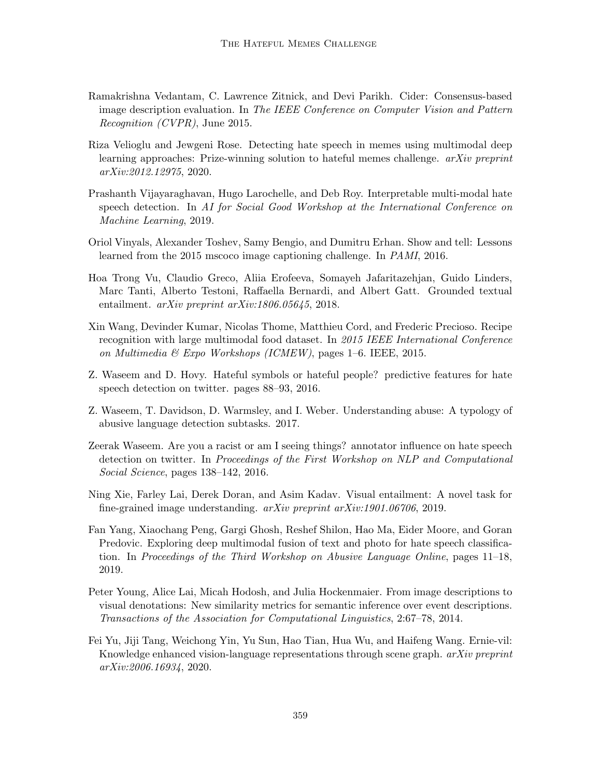- <span id="page-15-7"></span>Ramakrishna Vedantam, C. Lawrence Zitnick, and Devi Parikh. Cider: Consensus-based image description evaluation. In The IEEE Conference on Computer Vision and Pattern Recognition (CVPR), June 2015.
- <span id="page-15-11"></span>Riza Velioglu and Jewgeni Rose. Detecting hate speech in memes using multimodal deep learning approaches: Prize-winning solution to hateful memes challenge. arXiv preprint arXiv:2012.12975, 2020.
- <span id="page-15-5"></span>Prashanth Vijayaraghavan, Hugo Larochelle, and Deb Roy. Interpretable multi-modal hate speech detection. In AI for Social Good Workshop at the International Conference on Machine Learning, 2019.
- <span id="page-15-12"></span>Oriol Vinyals, Alexander Toshev, Samy Bengio, and Dumitru Erhan. Show and tell: Lessons learned from the 2015 mscoco image captioning challenge. In PAMI, 2016.
- <span id="page-15-9"></span>Hoa Trong Vu, Claudio Greco, Aliia Erofeeva, Somayeh Jafaritazehjan, Guido Linders, Marc Tanti, Alberto Testoni, Raffaella Bernardi, and Albert Gatt. Grounded textual entailment. arXiv preprint arXiv:1806.05645, 2018.
- <span id="page-15-8"></span>Xin Wang, Devinder Kumar, Nicolas Thome, Matthieu Cord, and Frederic Precioso. Recipe recognition with large multimodal food dataset. In 2015 IEEE International Conference on Multimedia & Expo Workshops (ICMEW), pages 1–6. IEEE, 2015.
- <span id="page-15-3"></span>Z. Waseem and D. Hovy. Hateful symbols or hateful people? predictive features for hate speech detection on twitter. pages 88–93, 2016.
- <span id="page-15-1"></span>Z. Waseem, T. Davidson, D. Warmsley, and I. Weber. Understanding abuse: A typology of abusive language detection subtasks. 2017.
- <span id="page-15-2"></span>Zeerak Waseem. Are you a racist or am I seeing things? annotator influence on hate speech detection on twitter. In Proceedings of the First Workshop on NLP and Computational Social Science, pages 138–142, 2016.
- <span id="page-15-6"></span>Ning Xie, Farley Lai, Derek Doran, and Asim Kadav. Visual entailment: A novel task for fine-grained image understanding. arXiv preprint arXiv:1901.06706, 2019.
- <span id="page-15-4"></span>Fan Yang, Xiaochang Peng, Gargi Ghosh, Reshef Shilon, Hao Ma, Eider Moore, and Goran Predovic. Exploring deep multimodal fusion of text and photo for hate speech classification. In Proceedings of the Third Workshop on Abusive Language Online, pages  $11-18$ , 2019.
- <span id="page-15-0"></span>Peter Young, Alice Lai, Micah Hodosh, and Julia Hockenmaier. From image descriptions to visual denotations: New similarity metrics for semantic inference over event descriptions. Transactions of the Association for Computational Linguistics, 2:67–78, 2014.
- <span id="page-15-10"></span>Fei Yu, Jiji Tang, Weichong Yin, Yu Sun, Hao Tian, Hua Wu, and Haifeng Wang. Ernie-vil: Knowledge enhanced vision-language representations through scene graph. arXiv preprint arXiv:2006.16934, 2020.